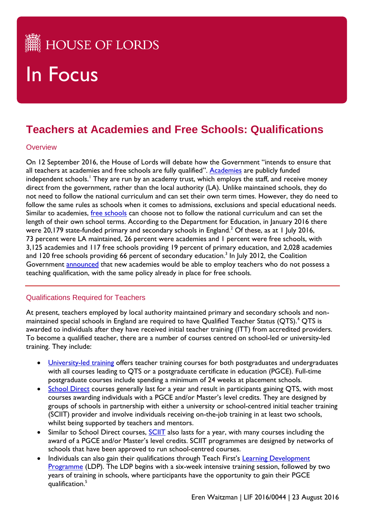## **HE HOUSE OF LORDS**

# In Focus

### **Teachers at Academies and Free Schools: Qualifications**

#### **Overview**

On 12 September 2016, the House of Lords will debate how the Government "intends to ensure that all teachers at academies and free schools are fully qualified". [Academies](https://www.gov.uk/types-of-school/academies) are publicly funded independent schools.<sup>1</sup> They are run by an academy trust, which employs the staff, and receive money direct from the government, rather than the local authority (LA). Unlike maintained schools, they do not need to follow the national curriculum and can set their own term times. However, they do need to follow the same rules as schools when it comes to admissions, exclusions and special educational needs. Similar to academies, [free schools](https://www.gov.uk/types-of-school/free-schools) can choose not to follow the national curriculum and can set the length of their own school terms. According to the Department for Education, in January 2016 there were 20,179 state-funded primary and secondary schools in England.<sup>2</sup> Of these, as at 1 July 2016, 73 percent were LA maintained, 26 percent were academies and 1 percent were free schools, with 3,125 academies and 117 free schools providing 19 percent of primary education, and 2,028 academies and 120 free schools providing 66 percent of secondary education.<sup>3</sup> In July 2012, the Coalition Government **announced** that new academies would be able to employ teachers who do not possess a teaching qualification, with the same policy already in place for free schools.

#### Qualifications Required for Teachers

At present, teachers employed by local authority maintained primary and secondary schools and nonmaintained special schools in England are required to have Qualified Teacher Status (QTS).<sup>4</sup> QTS is awarded to individuals after they have received initial teacher training (ITT) from accredited providers. To become a qualified teacher, there are a number of courses centred on school-led or university-led training. They include:

- [University-led training](https://getintoteaching.education.gov.uk/explore-my-options/teacher-training-routes/university-led-training) offers teacher training courses for both postgraduates and undergraduates with all courses leading to QTS or a postgraduate certificate in education (PGCE). Full-time postgraduate courses include spending a minimum of 24 weeks at placement schools.
- [School Direct](https://getintoteaching.education.gov.uk/explore-my-options/teacher-training-routes/school-led-training/school-direct-salaried) courses generally last for a year and result in participants gaining QTS, with most courses awarding individuals with a PGCE and/or Master's level credits. They are designed by groups of schools in partnership with either a university or school-centred initial teacher training (SCIIT) provider and involve individuals receiving on-the-job training in at least two schools, whilst being supported by teachers and mentors.
- Similar to School Direct courses, [SCIIT](https://getintoteaching.education.gov.uk/explore-my-options/teacher-training-routes/school-led-training/scitt) also lasts for a year, with many courses including the award of a PGCE and/or Master's level credits. SCIIT programmes are designed by networks of schools that have been approved to run school-centred courses.
- Individuals can also gain their qualifications through Teach First's Learning Development [Programme](https://graduates.teachfirst.org.uk/sites/graduates.teachfirst.org.uk/files/LDP-Process.pdf) (LDP). The LDP begins with a six-week intensive training session, followed by two years of training in schools, where participants have the opportunity to gain their PGCE qualification.5